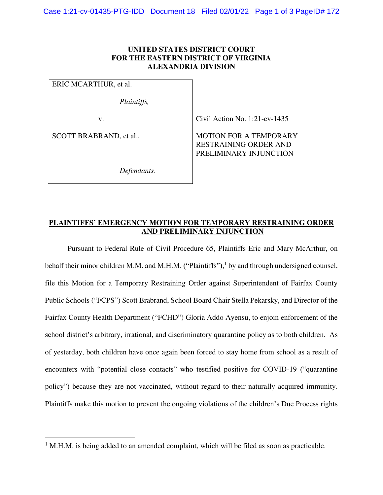## **UNITED STATES DISTRICT COURT FOR THE EASTERN DISTRICT OF VIRGINIA ALEXANDRIA DIVISION**

ERIC MCARTHUR, et al.

*Plaintiffs,* 

SCOTT BRABRAND, et al.,

v. **Civil Action No. 1:21-cv-1435** 

MOTION FOR A TEMPORARY RESTRAINING ORDER AND PRELIMINARY INJUNCTION

*Defendants*.

## **PLAINTIFFS' EMERGENCY MOTION FOR TEMPORARY RESTRAINING ORDER AND PRELIMINARY INJUNCTION**

Pursuant to Federal Rule of Civil Procedure 65, Plaintiffs Eric and Mary McArthur, on behalf their minor children M.M. and M.H.M. ("Plaintiffs"),<sup>1</sup> by and through undersigned counsel, file this Motion for a Temporary Restraining Order against Superintendent of Fairfax County Public Schools ("FCPS") Scott Brabrand, School Board Chair Stella Pekarsky, and Director of the Fairfax County Health Department ("FCHD") Gloria Addo Ayensu, to enjoin enforcement of the school district's arbitrary, irrational, and discriminatory quarantine policy as to both children. As of yesterday, both children have once again been forced to stay home from school as a result of encounters with "potential close contacts" who testified positive for COVID-19 ("quarantine policy") because they are not vaccinated, without regard to their naturally acquired immunity. Plaintiffs make this motion to prevent the ongoing violations of the children's Due Process rights

<sup>&</sup>lt;sup>1</sup> M.H.M. is being added to an amended complaint, which will be filed as soon as practicable.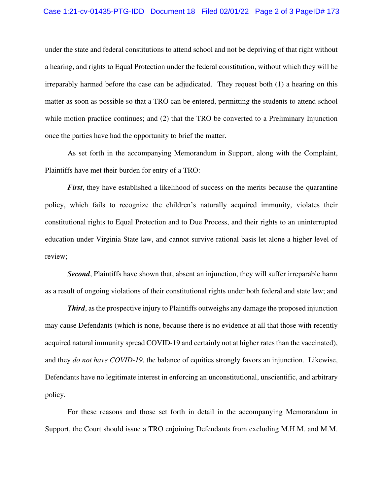under the state and federal constitutions to attend school and not be depriving of that right without a hearing, and rights to Equal Protection under the federal constitution, without which they will be irreparably harmed before the case can be adjudicated. They request both (1) a hearing on this matter as soon as possible so that a TRO can be entered, permitting the students to attend school while motion practice continues; and (2) that the TRO be converted to a Preliminary Injunction once the parties have had the opportunity to brief the matter.

As set forth in the accompanying Memorandum in Support, along with the Complaint, Plaintiffs have met their burden for entry of a TRO:

*First*, they have established a likelihood of success on the merits because the quarantine policy, which fails to recognize the children's naturally acquired immunity, violates their constitutional rights to Equal Protection and to Due Process, and their rights to an uninterrupted education under Virginia State law, and cannot survive rational basis let alone a higher level of review;

*Second*, Plaintiffs have shown that, absent an injunction, they will suffer irreparable harm as a result of ongoing violations of their constitutional rights under both federal and state law; and

*Third*, as the prospective injury to Plaintiffs outweighs any damage the proposed injunction may cause Defendants (which is none, because there is no evidence at all that those with recently acquired natural immunity spread COVID-19 and certainly not at higher rates than the vaccinated), and they *do not have COVID-19*, the balance of equities strongly favors an injunction. Likewise, Defendants have no legitimate interest in enforcing an unconstitutional, unscientific, and arbitrary policy.

For these reasons and those set forth in detail in the accompanying Memorandum in Support, the Court should issue a TRO enjoining Defendants from excluding M.H.M. and M.M.